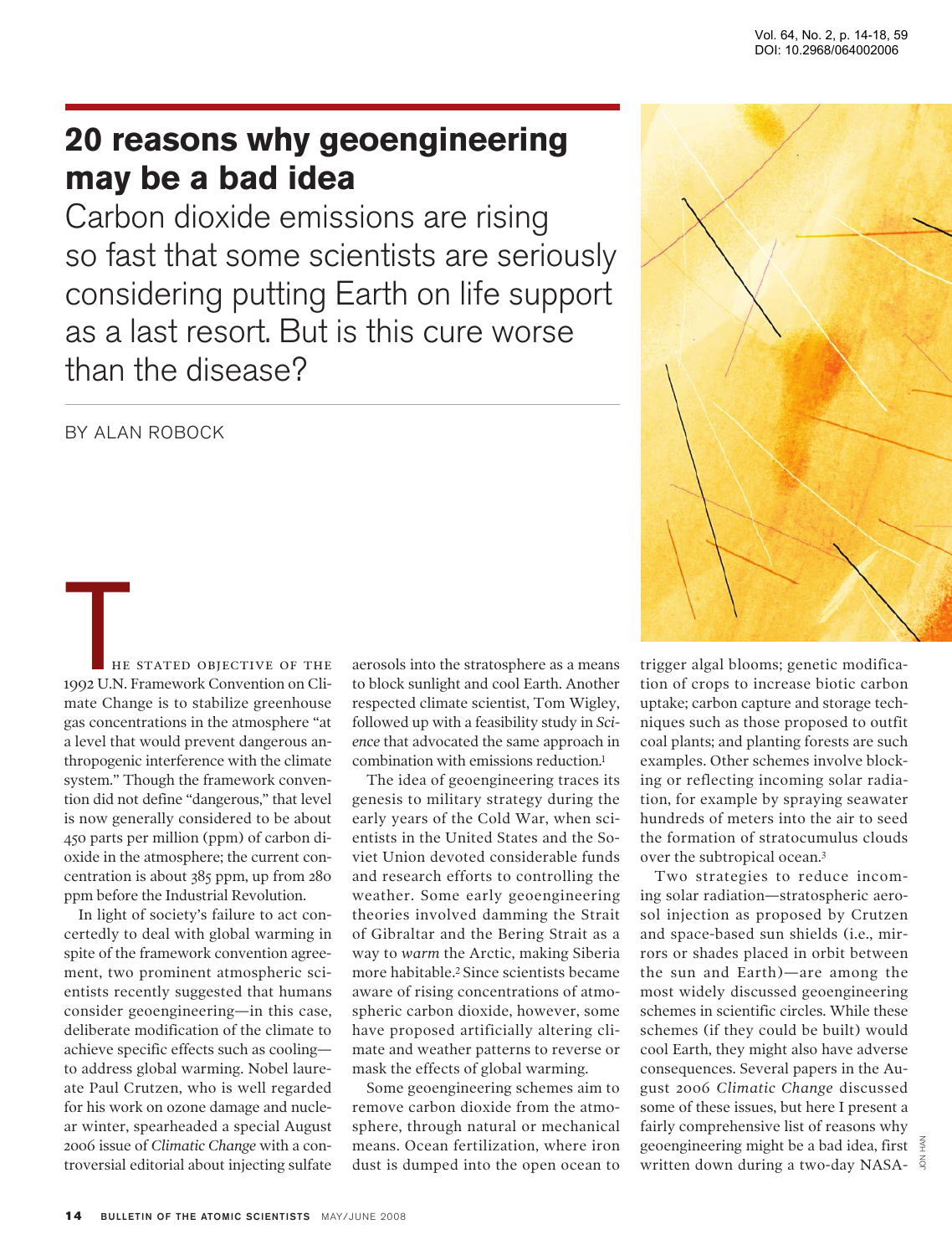# **20 reasons why geoengineering may be a bad idea**

Carbon dioxide emissions are rising so fast that some scientists are seriously considering putting Earth on life support as a last resort. But is this cure worse than the disease?

## By Alan robock

HE STATED OBJECTIVE OF THE THE STATED OBJECTIVE OF THE<br>1992 U.N. Framework Convention on Climate Change is to stabilize greenhouse gas concentrations in the atmosphere "at a level that would prevent dangerous anthropogenic interference with the climate system." Though the framework convention did not define "dangerous," that level is now generally considered to be about 450 parts per million (ppm) of carbon dioxide in the atmosphere; the current concentration is about 385 ppm, up from 280 ppm before the Industrial Revolution.

In light of society's failure to act concertedly to deal with global warming in spite of the framework convention agreement, two prominent atmospheric scientists recently suggested that humans consider geoengineering—in this case, deliberate modification of the climate to achieve specific effects such as cooling to address global warming. Nobel laureate Paul Crutzen, who is well regarded for his work on ozone damage and nuclear winter, spearheaded a special August 2006 issue of *Climatic Change* with a controversial editorial about injecting sulfate

aerosols into the stratosphere as a means to block sunlight and cool Earth. Another respected climate scientist, Tom Wigley, followed up with a feasibility study in *Science* that advocated the same approach in combination with emissions reduction.<sup>1</sup>

The idea of geoengineering traces its genesis to military strategy during the early years of the Cold War, when scientists in the United States and the Soviet Union devoted considerable funds and research efforts to controlling the weather. Some early geoengineering theories involved damming the Strait of Gibraltar and the Bering Strait as a way to *warm* the Arctic, making Siberia more habitable.2 Since scientists became aware of rising concentrations of atmospheric carbon dioxide, however, some have proposed artificially altering climate and weather patterns to reverse or mask the effects of global warming.

Some geoengineering schemes aim to remove carbon dioxide from the atmosphere, through natural or mechanical means. Ocean fertilization, where iron dust is dumped into the open ocean to



trigger algal blooms; genetic modification of crops to increase biotic carbon uptake; carbon capture and storage techniques such as those proposed to outfit coal plants; and planting forests are such examples. Other schemes involve blocking or reflecting incoming solar radiation, for example by spraying seawater hundreds of meters into the air to seed the formation of stratocumulus clouds over the subtropical ocean.<sup>3</sup>

Two strategies to reduce incoming solar radiation—stratospheric aerosol injection as proposed by Crutzen and space-based sun shields (i.e., mirrors or shades placed in orbit between the sun and Earth)—are among the most widely discussed geoengineering schemes in scientific circles. While these schemes (if they could be built) would cool Earth, they might also have adverse consequences. Several papers in the August 2006 *Climatic Change* discussed some of these issues, but here I present a fairly comprehensive list of reasons why geoengineering might be a bad idea, first  $\frac{2}{3}$ geoengineering might be a bad idea, first  $\frac{2}{3}$ <br>written down during a two-day NASA-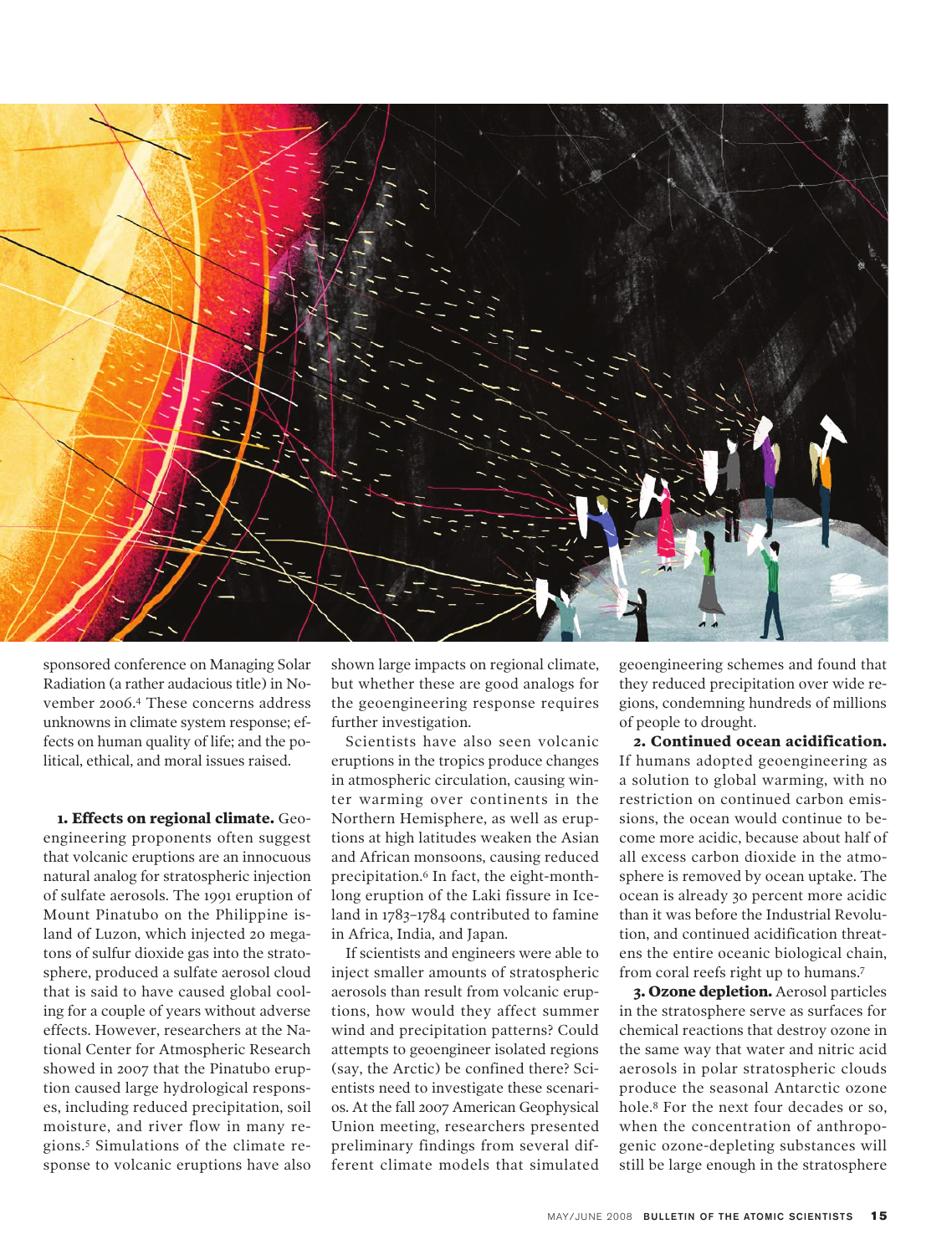

sponsored conference on Managing Solar Radiation (a rather audacious title) in November 2006.4 These concerns address unknowns in climate system response; effects on human quality of life; and the political, ethical, and moral issues raised.

**1. Effects on regional climate.** Geoengineering proponents often suggest that volcanic eruptions are an innocuous natural analog for stratospheric injection of sulfate aerosols. The 1991 eruption of Mount Pinatubo on the Philippine island of Luzon, which injected 20 megatons of sulfur dioxide gas into the stratosphere, produced a sulfate aerosol cloud that is said to have caused global cooling for a couple of years without adverse effects. However, researchers at the National Center for Atmospheric Research showed in 2007 that the Pinatubo eruption caused large hydrological responses, including reduced precipitation, soil moisture, and river flow in many regions.5 Simulations of the climate response to volcanic eruptions have also

shown large impacts on regional climate, but whether these are good analogs for the geoengineering response requires further investigation.

Scientists have also seen volcanic eruptions in the tropics produce changes in atmospheric circulation, causing winter warming over continents in the Northern Hemisphere, as well as eruptions at high latitudes weaken the Asian and African monsoons, causing reduced precipitation.6 In fact, the eight-monthlong eruption of the Laki fissure in Iceland in 1783–1784 contributed to famine in Africa, India, and Japan.

If scientists and engineers were able to inject smaller amounts of stratospheric aerosols than result from volcanic eruptions, how would they affect summer wind and precipitation patterns? Could attempts to geoengineer isolated regions (say, the Arctic) be confined there? Scientists need to investigate these scenarios. At the fall 2007 American Geophysical Union meeting, researchers presented preliminary findings from several different climate models that simulated

geoengineering schemes and found that they reduced precipitation over wide regions, condemning hundreds of millions of people to drought.

**2. Continued ocean acidification.**  If humans adopted geoengineering as a solution to global warming, with no restriction on continued carbon emissions, the ocean would continue to become more acidic, because about half of all excess carbon dioxide in the atmosphere is removed by ocean uptake. The ocean is already 30 percent more acidic than it was before the Industrial Revolution, and continued acidification threatens the entire oceanic biological chain, from coral reefs right up to humans.<sup>7</sup>

**3. Ozone depletion.** Aerosol particles in the stratosphere serve as surfaces for chemical reactions that destroy ozone in the same way that water and nitric acid aerosols in polar stratospheric clouds produce the seasonal Antarctic ozone hole.8 For the next four decades or so, when the concentration of anthropogenic ozone-depleting substances will still be large enough in the stratosphere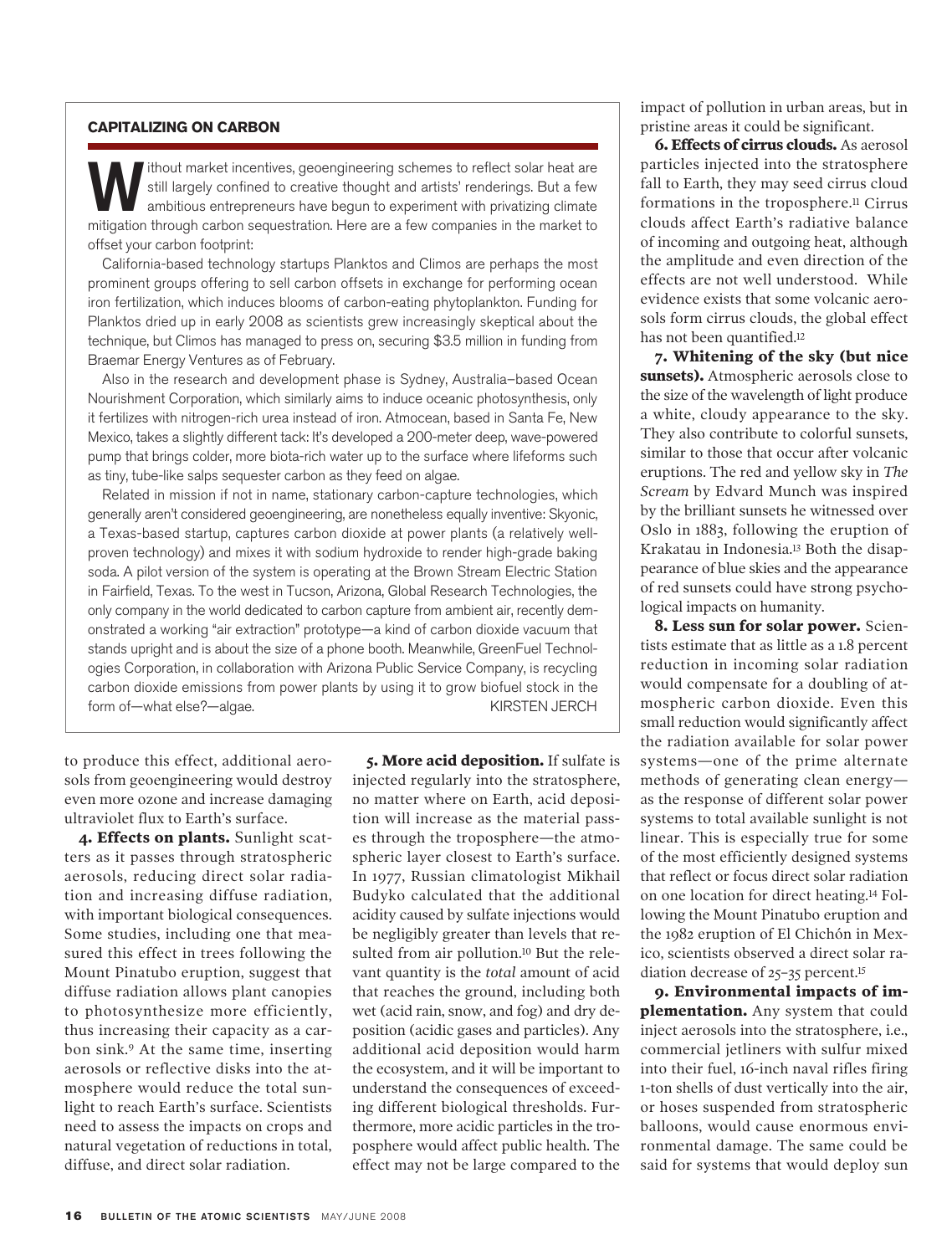#### **capitalizing on carbon**

ithout market incentives, geoengineering schemes to reflect solar heat are still largely confined to creative thought and artists' renderings. But a few ambitious entrepreneurs have begun to experiment with privatizing climate mitigation through carbon sequestration. Here are a few companies in the market to offset your carbon footprint:

California-based technology startups Planktos and Climos are perhaps the most prominent groups offering to sell carbon offsets in exchange for performing ocean iron fertilization, which induces blooms of carbon-eating phytoplankton. Funding for Planktos dried up in early 2008 as scientists grew increasingly skeptical about the technique, but Climos has managed to press on, securing \$3.5 million in funding from Braemar Energy Ventures as of February.

Also in the research and development phase is Sydney, Australia–based Ocean Nourishment Corporation, which similarly aims to induce oceanic photosynthesis, only it fertilizes with nitrogen-rich urea instead of iron. Atmocean, based in Santa Fe, New Mexico, takes a slightly different tack: It's developed a 200-meter deep, wave-powered pump that brings colder, more biota-rich water up to the surface where lifeforms such as tiny, tube-like salps sequester carbon as they feed on algae.

Related in mission if not in name, stationary carbon-capture technologies, which generally aren't considered geoengineering, are nonetheless equally inventive: Skyonic, a Texas-based startup, captures carbon dioxide at power plants (a relatively wellproven technology) and mixes it with sodium hydroxide to render high-grade baking soda. A pilot version of the system is operating at the Brown Stream Electric Station in Fairfield, Texas. To the west in Tucson, Arizona, Global Research Technologies, the only company in the world dedicated to carbon capture from ambient air, recently demonstrated a working "air extraction" prototype—a kind of carbon dioxide vacuum that stands upright and is about the size of a phone booth. Meanwhile, GreenFuel Technologies Corporation, in collaboration with Arizona Public Service Company, is recycling carbon dioxide emissions from power plants by using it to grow biofuel stock in the form of - what else? - algae. KIRSTEN JERCH

to produce this effect, additional aerosols from geoengineering would destroy even more ozone and increase damaging ultraviolet flux to Earth's surface.

**4. Effects on plants.** Sunlight scatters as it passes through stratospheric aerosols, reducing direct solar radiation and increasing diffuse radiation, with important biological consequences. Some studies, including one that measured this effect in trees following the Mount Pinatubo eruption, suggest that diffuse radiation allows plant canopies to photosynthesize more efficiently, thus increasing their capacity as a carbon sink.9 At the same time, inserting aerosols or reflective disks into the atmosphere would reduce the total sunlight to reach Earth's surface. Scientists need to assess the impacts on crops and natural vegetation of reductions in total, diffuse, and direct solar radiation.

**5. More acid deposition.** If sulfate is injected regularly into the stratosphere, no matter where on Earth, acid deposition will increase as the material passes through the troposphere—the atmospheric layer closest to Earth's surface. In 1977, Russian climatologist Mikhail Budyko calculated that the additional acidity caused by sulfate injections would be negligibly greater than levels that resulted from air pollution.<sup>10</sup> But the relevant quantity is the *total* amount of acid that reaches the ground, including both wet (acid rain, snow, and fog) and dry deposition (acidic gases and particles). Any additional acid deposition would harm the ecosystem, and it will be important to understand the consequences of exceeding different biological thresholds. Furthermore, more acidic particles in the troposphere would affect public health. The effect may not be large compared to the

impact of pollution in urban areas, but in pristine areas it could be significant.

**6. Effects of cirrus clouds.** As aerosol particles injected into the stratosphere fall to Earth, they may seed cirrus cloud formations in the troposphere.11 Cirrus clouds affect Earth's radiative balance of incoming and outgoing heat, although the amplitude and even direction of the effects are not well understood. While evidence exists that some volcanic aerosols form cirrus clouds, the global effect has not been quantified.<sup>12</sup>

**7. Whitening of the sky (but nice sunsets).** Atmospheric aerosols close to the size of the wavelength of light produce a white, cloudy appearance to the sky. They also contribute to colorful sunsets, similar to those that occur after volcanic eruptions. The red and yellow sky in *The Scream* by Edvard Munch was inspired by the brilliant sunsets he witnessed over Oslo in 1883, following the eruption of Krakatau in Indonesia.13 Both the disappearance of blue skies and the appearance of red sunsets could have strong psychological impacts on humanity.

**8. Less sun for solar power.** Scientists estimate that as little as a 1.8 percent reduction in incoming solar radiation would compensate for a doubling of atmospheric carbon dioxide. Even this small reduction would significantly affect the radiation available for solar power systems—one of the prime alternate methods of generating clean energy as the response of different solar power systems to total available sunlight is not linear. This is especially true for some of the most efficiently designed systems that reflect or focus direct solar radiation on one location for direct heating.14 Following the Mount Pinatubo eruption and the 1982 eruption of El Chichón in Mexico, scientists observed a direct solar radiation decrease of 25-35 percent.<sup>15</sup>

**9. Environmental impacts of implementation.** Any system that could inject aerosols into the stratosphere, i.e., commercial jetliners with sulfur mixed into their fuel, 16-inch naval rifles firing 1-ton shells of dust vertically into the air, or hoses suspended from stratospheric balloons, would cause enormous environmental damage. The same could be said for systems that would deploy sun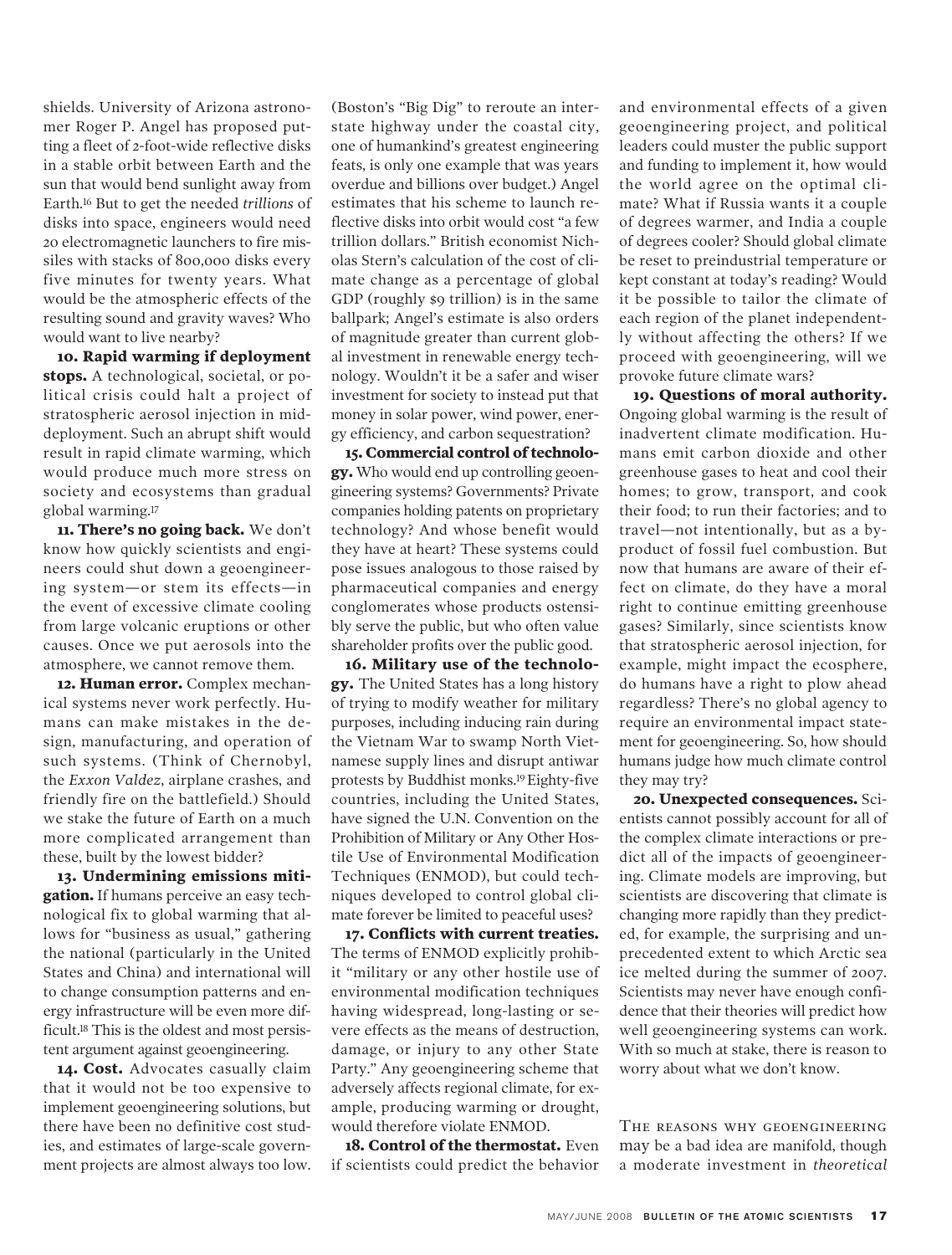shields. University of Arizona astronomer Roger P. Angel has proposed putting a fleet of 2-foot-wide reflective disks in a stable orbit between Earth and the sun that would bend sunlight away from Earth.16 But to get the needed *trillions* of disks into space, engineers would need 20 electromagnetic launchers to fire missiles with stacks of 800,000 disks every five minutes for twenty years. What would be the atmospheric effects of the resulting sound and gravity waves? Who would want to live nearby?

**10. Rapid warming if deployment stops.** A technological, societal, or political crisis could halt a project of stratospheric aerosol injection in middeployment. Such an abrupt shift would result in rapid climate warming, which would produce much more stress on society and ecosystems than gradual global warming.<sup>17</sup>

**11. There's no going back.** We don't know how quickly scientists and engineers could shut down a geoengineering system—or stem its effects—in the event of excessive climate cooling from large volcanic eruptions or other causes. Once we put aerosols into the atmosphere, we cannot remove them.

12. Human error. Complex mechanical systems never work perfectly. Humans can make mistakes in the design, manufacturing, and operation of such systems. (Think of Chernobyl, the *Exxon Valdez*, airplane crashes, and friendly fire on the battlefield.) Should we stake the future of Earth on a much more complicated arrangement than these, built by the lowest bidder?

**13. Undermining emissions mitigation.** If humans perceive an easy technological fix to global warming that allows for "business as usual," gathering the national (particularly in the United States and China) and international will to change consumption patterns and energy infrastructure will be even more difficult.18 This is the oldest and most persistent argument against geoengineering.

14. Cost. Advocates casually claim that it would not be too expensive to implement geoengineering solutions, but there have been no definitive cost studies, and estimates of large-scale government projects are almost always too low. (Boston's "Big Dig" to reroute an interstate highway under the coastal city, one of humankind's greatest engineering feats, is only one example that was years overdue and billions over budget.) Angel estimates that his scheme to launch reflective disks into orbit would cost "a few trillion dollars." British economist Nicholas Stern's calculation of the cost of climate change as a percentage of global GDP (roughly \$9 trillion) is in the same ballpark; Angel's estimate is also orders of magnitude greater than current global investment in renewable energy technology. Wouldn't it be a safer and wiser investment for society to instead put that money in solar power, wind power, energy efficiency, and carbon sequestration?

**15. Commercial control of technology.** Who would end up controlling geoengineering systems? Governments? Private companies holding patents on proprietary technology? And whose benefit would they have at heart? These systems could pose issues analogous to those raised by pharmaceutical companies and energy conglomerates whose products ostensibly serve the public, but who often value shareholder profits over the public good.

**16. Military use of the technology.** The United States has a long history of trying to modify weather for military purposes, including inducing rain during the Vietnam War to swamp North Vietnamese supply lines and disrupt antiwar protests by Buddhist monks.19 Eighty-five countries, including the United States, have signed the U.N. Convention on the Prohibition of Military or Any Other Hostile Use of Environmental Modification Techniques (ENMOD), but could techniques developed to control global climate forever be limited to peaceful uses?

**17. Conflicts with current treaties.** The terms of ENMOD explicitly prohibit "military or any other hostile use of environmental modification techniques having widespread, long-lasting or severe effects as the means of destruction, damage, or injury to any other State Party." Any geoengineering scheme that adversely affects regional climate, for example, producing warming or drought, would therefore violate ENMOD.

**18. Control of the thermostat.** Even if scientists could predict the behavior

and environmental effects of a given geoengineering project, and political leaders could muster the public support and funding to implement it, how would the world agree on the optimal climate? What if Russia wants it a couple of degrees warmer, and India a couple of degrees cooler? Should global climate be reset to preindustrial temperature or kept constant at today's reading? Would it be possible to tailor the climate of each region of the planet independently without affecting the others? If we proceed with geoengineering, will we provoke future climate wars?

**19. Questions of moral authority.** Ongoing global warming is the result of inadvertent climate modification. Humans emit carbon dioxide and other greenhouse gases to heat and cool their homes; to grow, transport, and cook their food; to run their factories; and to travel—not intentionally, but as a byproduct of fossil fuel combustion. But now that humans are aware of their effect on climate, do they have a moral right to continue emitting greenhouse gases? Similarly, since scientists know that stratospheric aerosol injection, for example, might impact the ecosphere, do humans have a right to plow ahead regardless? There's no global agency to require an environmental impact statement for geoengineering. So, how should humans judge how much climate control they may try?

**20. Unexpected consequences.** Scientists cannot possibly account for all of the complex climate interactions or predict all of the impacts of geoengineering. Climate models are improving, but scientists are discovering that climate is changing more rapidly than they predicted, for example, the surprising and unprecedented extent to which Arctic sea ice melted during the summer of 2007. Scientists may never have enough confidence that their theories will predict how well geoengineering systems can work. With so much at stake, there is reason to worry about what we don't know.

The reasons why geoengineering may be a bad idea are manifold, though a moderate investment in *theoretical*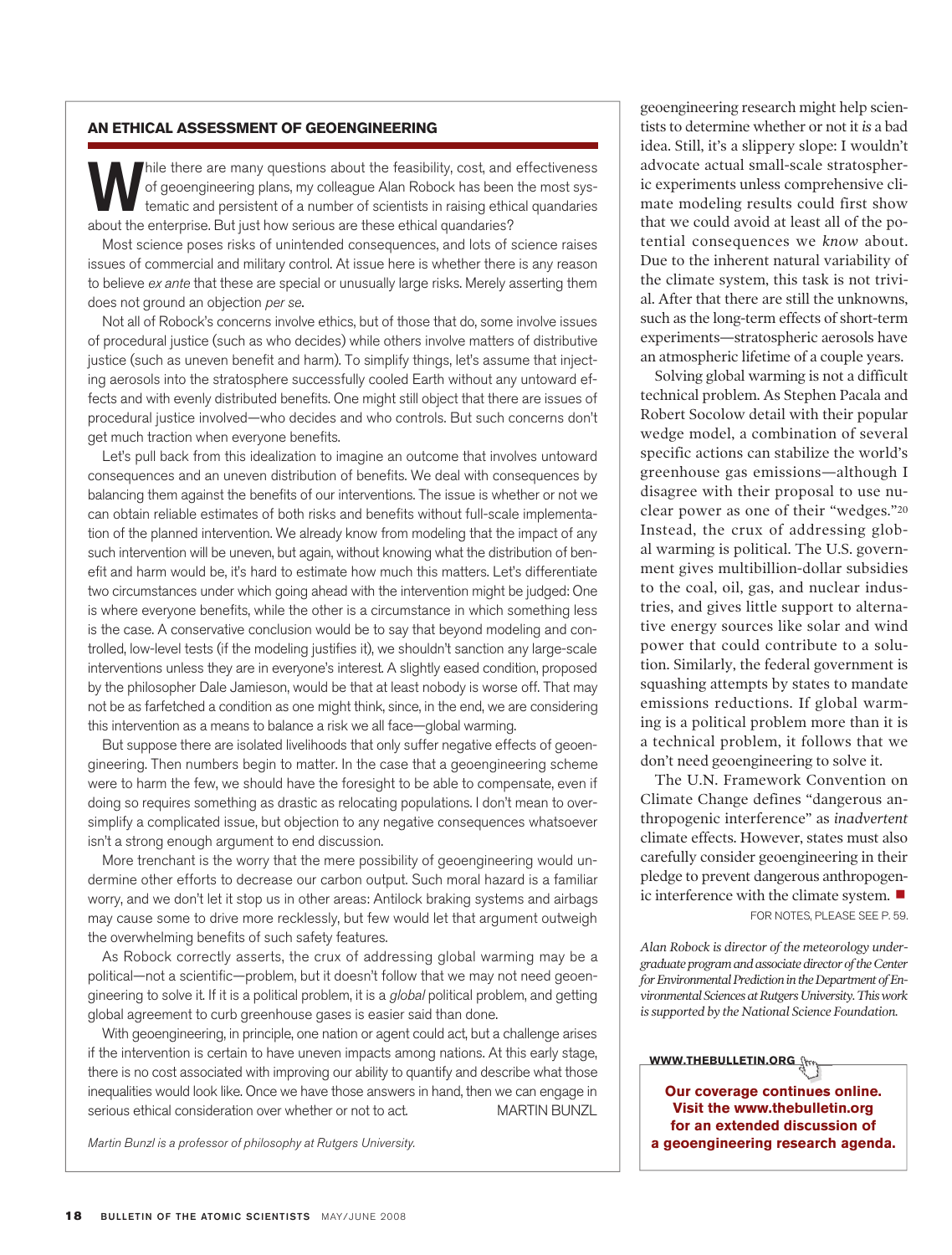### **an EtHical aSSESSMEnt oF gEoEnginEEring**

hile there are many questions about the feasibility, cost, and effectiveness of geoengineering plans, my colleague Alan Robock has been the most systematic and persistent of a number of scientists in raising ethical quandaries about the enterprise. But just how serious are these ethical quandaries?

Most science poses risks of unintended consequences, and lots of science raises issues of commercial and military control. At issue here is whether there is any reason to believe ex ante that these are special or unusually large risks. Merely asserting them does not ground an objection per se.

Not all of Robock's concerns involve ethics, but of those that do, some involve issues of procedural justice (such as who decides) while others involve matters of distributive justice (such as uneven benefit and harm). To simplify things, let's assume that injecting aerosols into the stratosphere successfully cooled Earth without any untoward effects and with evenly distributed benefits. One might still object that there are issues of procedural justice involved—who decides and who controls. But such concerns don't get much traction when everyone benefits.

Let's pull back from this idealization to imagine an outcome that involves untoward consequences and an uneven distribution of benefits. We deal with consequences by balancing them against the benefits of our interventions. The issue is whether or not we can obtain reliable estimates of both risks and benefits without full-scale implementation of the planned intervention. We already know from modeling that the impact of any such intervention will be uneven, but again, without knowing what the distribution of benefit and harm would be, it's hard to estimate how much this matters. let's differentiate two circumstances under which going ahead with the intervention might be judged: One is where everyone benefits, while the other is a circumstance in which something less is the case. A conservative conclusion would be to say that beyond modeling and controlled, low-level tests (if the modeling justifies it), we shouldn't sanction any large-scale interventions unless they are in everyone's interest. A slightly eased condition, proposed by the philosopher Dale Jamieson, would be that at least nobody is worse off. That may not be as farfetched a condition as one might think, since, in the end, we are considering this intervention as a means to balance a risk we all face—global warming.

But suppose there are isolated livelihoods that only suffer negative effects of geoengineering. Then numbers begin to matter. In the case that a geoengineering scheme were to harm the few, we should have the foresight to be able to compensate, even if doing so requires something as drastic as relocating populations. I don't mean to oversimplify a complicated issue, but objection to any negative consequences whatsoever isn't a strong enough argument to end discussion.

More trenchant is the worry that the mere possibility of geoengineering would undermine other efforts to decrease our carbon output. Such moral hazard is a familiar worry, and we don't let it stop us in other areas: Antilock braking systems and airbags may cause some to drive more recklessly, but few would let that argument outweigh the overwhelming benefits of such safety features.

As Robock correctly asserts, the crux of addressing global warming may be a political—not a scientific—problem, but it doesn't follow that we may not need geoengineering to solve it. If it is a political problem, it is a *global* political problem, and getting global agreement to curb greenhouse gases is easier said than done.

With geoengineering, in principle, one nation or agent could act, but a challenge arises if the intervention is certain to have uneven impacts among nations. At this early stage, there is no cost associated with improving our ability to quantify and describe what those inequalities would look like. Once we have those answers in hand, then we can engage in serious ethical consideration over whether or not to act. MARTIN BUNZL

Martin Bunzl is a professor of philosophy at Rutgers University.

 geoengineering research might help scientists to determine whether or not it *is* a bad idea. Still, it's a slippery slope: I wouldn't advocate actual small-scale stratospheric experiments unless comprehensive climate modeling results could first show that we could avoid at least all of the potential consequences we *know* about. Due to the inherent natural variability of the climate system, this task is not trivial. After that there are still the unknowns, such as the long-term effects of short-term experiments— stratospheric aerosols have an atmospheric lifetime of a couple years.

Solving global warming is not a difficult technical problem. As Stephen Pacala and Robert Socolow detail with their popular wedge model, a combination of several specific actions can stabilize the world's greenhouse gas emissions—although I disagree with their proposal to use nuclear power as one of their "wedges."<sup>20</sup> Instead, the crux of addressing global warming is political. The U.S. government gives multibillion- dollar subsidies to the coal, oil, gas, and nuclear industries, and gives little support to alternative energy sources like solar and wind power that could contribute to a solution. Similarly, the federal government is squashing attempts by states to mandate emissions reductions. If global warming is a political problem more than it is a technical problem, it follows that we don't need geoengineering to solve it.

The U.N. Framework Convention on Climate Change defines "dangerous anthropogenic interference" as *inadvertent* climate effects. However, states must also carefully consider geoengineering in their pledge to prevent dangerous anthropogenic interference with the climate system.  $\blacksquare$ For NoTES, PlEASE SEE P. 59.

*Alan Robock is director of the meteorology undergraduate program and associate director of the Center for Environmental Prediction in the Department of Environmental Sciences at Rutgers University. This work is supported by the National Science Foundation.*

**WWW.tHEbUllEtin.org**

**our coverage continues online. Visit the www.thebulletin.org for an extended discussion of a geoengineering research agenda.**